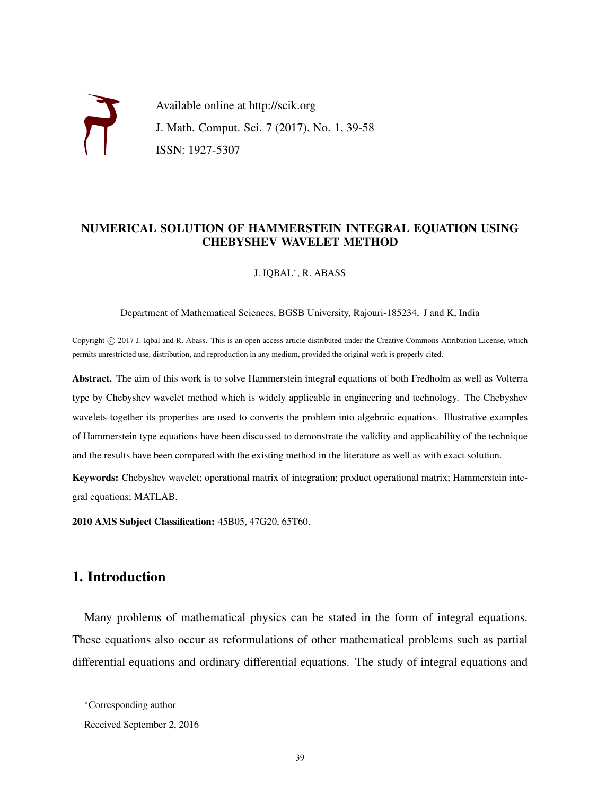Available online at http://scik.org J. Math. Comput. Sci. 7 (2017), No. 1, 39-58 ISSN: 1927-5307

### NUMERICAL SOLUTION OF HAMMERSTEIN INTEGRAL EQUATION USING CHEBYSHEV WAVELET METHOD

J. IQBAL<sup>∗</sup> , R. ABASS

Department of Mathematical Sciences, BGSB University, Rajouri-185234, J and K, India

Copyright © 2017 J. Iqbal and R. Abass. This is an open access article distributed under the Creative Commons Attribution License, which permits unrestricted use, distribution, and reproduction in any medium, provided the original work is properly cited.

Abstract. The aim of this work is to solve Hammerstein integral equations of both Fredholm as well as Volterra type by Chebyshev wavelet method which is widely applicable in engineering and technology. The Chebyshev wavelets together its properties are used to converts the problem into algebraic equations. Illustrative examples of Hammerstein type equations have been discussed to demonstrate the validity and applicability of the technique and the results have been compared with the existing method in the literature as well as with exact solution.

Keywords: Chebyshev wavelet; operational matrix of integration; product operational matrix; Hammerstein integral equations; MATLAB.

2010 AMS Subject Classification: 45B05, 47G20, 65T60.

## 1. Introduction

Many problems of mathematical physics can be stated in the form of integral equations. These equations also occur as reformulations of other mathematical problems such as partial differential equations and ordinary differential equations. The study of integral equations and

<sup>∗</sup>Corresponding author

Received September 2, 2016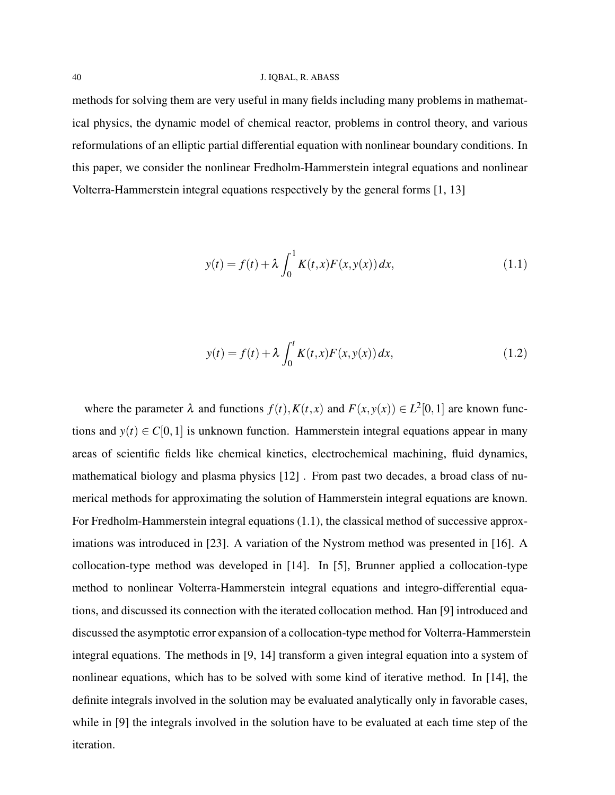#### 40 J. IQBAL, R. ABASS

methods for solving them are very useful in many fields including many problems in mathematical physics, the dynamic model of chemical reactor, problems in control theory, and various reformulations of an elliptic partial differential equation with nonlinear boundary conditions. In this paper, we consider the nonlinear Fredholm-Hammerstein integral equations and nonlinear Volterra-Hammerstein integral equations respectively by the general forms [1, 13]

$$
y(t) = f(t) + \lambda \int_0^1 K(t, x) F(x, y(x)) dx,
$$
\n(1.1)

$$
y(t) = f(t) + \lambda \int_0^t K(t, x) F(x, y(x)) dx,
$$
\n(1.2)

where the parameter  $\lambda$  and functions  $f(t)$ ,  $K(t, x)$  and  $F(x, y(x)) \in L^2[0, 1]$  are known functions and  $y(t) \in C[0,1]$  is unknown function. Hammerstein integral equations appear in many areas of scientific fields like chemical kinetics, electrochemical machining, fluid dynamics, mathematical biology and plasma physics [12] . From past two decades, a broad class of numerical methods for approximating the solution of Hammerstein integral equations are known. For Fredholm-Hammerstein integral equations (1.1), the classical method of successive approximations was introduced in [23]. A variation of the Nystrom method was presented in [16]. A collocation-type method was developed in [14]. In [5], Brunner applied a collocation-type method to nonlinear Volterra-Hammerstein integral equations and integro-differential equations, and discussed its connection with the iterated collocation method. Han [9] introduced and discussed the asymptotic error expansion of a collocation-type method for Volterra-Hammerstein integral equations. The methods in [9, 14] transform a given integral equation into a system of nonlinear equations, which has to be solved with some kind of iterative method. In [14], the definite integrals involved in the solution may be evaluated analytically only in favorable cases, while in [9] the integrals involved in the solution have to be evaluated at each time step of the iteration.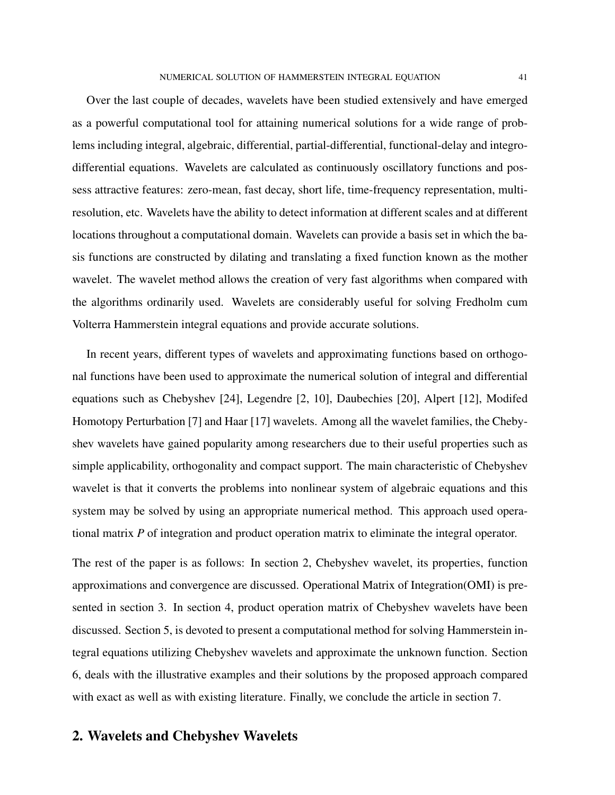Over the last couple of decades, wavelets have been studied extensively and have emerged as a powerful computational tool for attaining numerical solutions for a wide range of problems including integral, algebraic, differential, partial-differential, functional-delay and integrodifferential equations. Wavelets are calculated as continuously oscillatory functions and possess attractive features: zero-mean, fast decay, short life, time-frequency representation, multiresolution, etc. Wavelets have the ability to detect information at different scales and at different locations throughout a computational domain. Wavelets can provide a basis set in which the basis functions are constructed by dilating and translating a fixed function known as the mother wavelet. The wavelet method allows the creation of very fast algorithms when compared with the algorithms ordinarily used. Wavelets are considerably useful for solving Fredholm cum Volterra Hammerstein integral equations and provide accurate solutions.

In recent years, different types of wavelets and approximating functions based on orthogonal functions have been used to approximate the numerical solution of integral and differential equations such as Chebyshev [24], Legendre [2, 10], Daubechies [20], Alpert [12], Modifed Homotopy Perturbation [7] and Haar [17] wavelets. Among all the wavelet families, the Chebyshev wavelets have gained popularity among researchers due to their useful properties such as simple applicability, orthogonality and compact support. The main characteristic of Chebyshev wavelet is that it converts the problems into nonlinear system of algebraic equations and this system may be solved by using an appropriate numerical method. This approach used operational matrix *P* of integration and product operation matrix to eliminate the integral operator.

The rest of the paper is as follows: In section 2, Chebyshev wavelet, its properties, function approximations and convergence are discussed. Operational Matrix of Integration(OMI) is presented in section 3. In section 4, product operation matrix of Chebyshev wavelets have been discussed. Section 5, is devoted to present a computational method for solving Hammerstein integral equations utilizing Chebyshev wavelets and approximate the unknown function. Section 6, deals with the illustrative examples and their solutions by the proposed approach compared with exact as well as with existing literature. Finally, we conclude the article in section 7.

## 2. Wavelets and Chebyshev Wavelets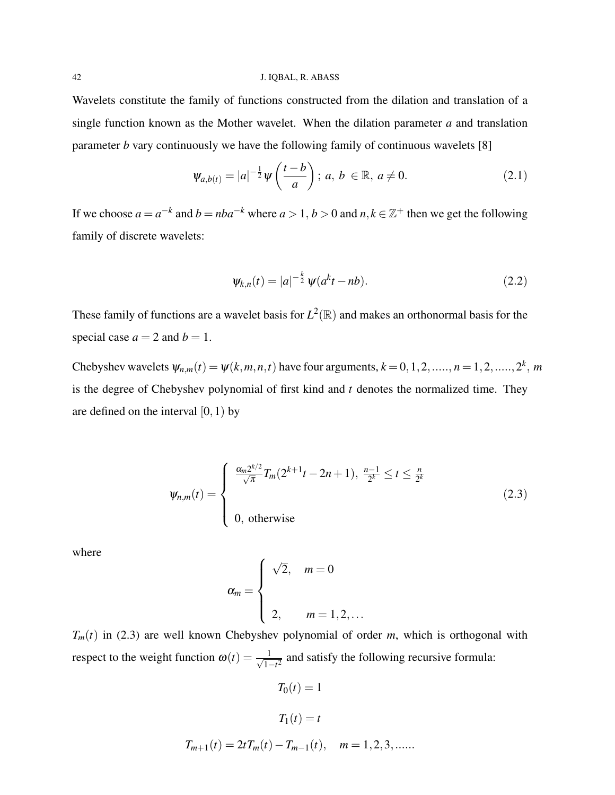Wavelets constitute the family of functions constructed from the dilation and translation of a single function known as the Mother wavelet. When the dilation parameter *a* and translation parameter *b* vary continuously we have the following family of continuous wavelets [8]

$$
\Psi_{a,b(t)} = |a|^{-\frac{1}{2}} \Psi\left(\frac{t-b}{a}\right); \ a, b \in \mathbb{R}, a \neq 0. \tag{2.1}
$$

If we choose  $a = a^{-k}$  and  $b = nba^{-k}$  where  $a > 1$ ,  $b > 0$  and  $n, k \in \mathbb{Z}^+$  then we get the following family of discrete wavelets:

$$
\psi_{k,n}(t) = |a|^{-\frac{k}{2}} \psi(a^k t - nb). \tag{2.2}
$$

These family of functions are a wavelet basis for  $L^2(\mathbb{R})$  and makes an orthonormal basis for the special case  $a = 2$  and  $b = 1$ .

Chebyshev wavelets  $\psi_{n,m}(t) = \psi(k,m,n,t)$  have four arguments,  $k = 0, 1, 2, \ldots, n = 1, 2, \ldots, 2^k, m$ is the degree of Chebyshev polynomial of first kind and *t* denotes the normalized time. They are defined on the interval  $[0,1)$  by

$$
\psi_{n,m}(t) = \begin{cases} \frac{\alpha_m 2^{k/2}}{\sqrt{\pi}} T_m(2^{k+1}t - 2n + 1), \ \frac{n-1}{2^k} \le t \le \frac{n}{2^k} \\ 0, \ \text{otherwise} \end{cases}
$$
 (2.3)

where

$$
\alpha_m = \begin{cases} \sqrt{2}, & m = 0 \\ 2, & m = 1, 2, \dots \end{cases}
$$

 $T_m(t)$  in (2.3) are well known Chebyshev polynomial of order *m*, which is orthogonal with respect to the weight function  $\omega(t) = \frac{1}{\sqrt{1}}$  $\frac{1}{1-t^2}$  and satisfy the following recursive formula:

$$
T_0(t) = 1
$$
  
\n
$$
T_1(t) = t
$$
  
\n
$$
T_{m+1}(t) = 2tT_m(t) - T_{m-1}(t), \quad m = 1, 2, 3, \dots
$$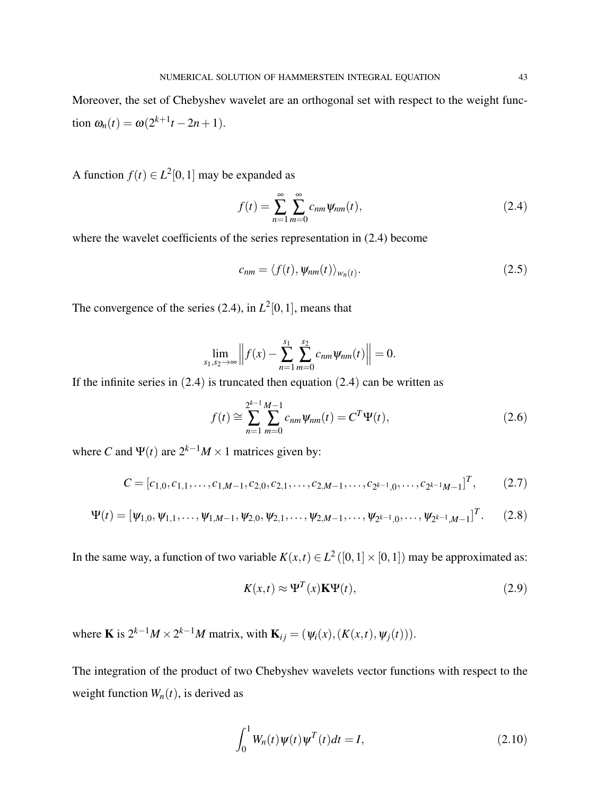Moreover, the set of Chebyshev wavelet are an orthogonal set with respect to the weight func- $\tan \omega_n(t) = \omega(2^{k+1}t - 2n + 1).$ 

A function  $f(t) \in L^2[0,1]$  may be expanded as

$$
f(t) = \sum_{n=1}^{\infty} \sum_{m=0}^{\infty} c_{nm} \Psi_{nm}(t),
$$
 (2.4)

where the wavelet coefficients of the series representation in  $(2.4)$  become

$$
c_{nm} = \langle f(t), \psi_{nm}(t) \rangle_{w_n(t)}.
$$
\n(2.5)

The convergence of the series  $(2.4)$ , in  $L^2[0,1]$ , means that

$$
\lim_{s_1,s_2\to\infty}\Big\|f(x)-\sum_{n=1}^{s_1}\sum_{m=0}^{s_2}c_{nm}\psi_{nm}(t)\Big\|=0.
$$

If the infinite series in  $(2.4)$  is truncated then equation  $(2.4)$  can be written as

$$
f(t) \cong \sum_{n=1}^{2^{k-1}} \sum_{m=0}^{M-1} c_{nm} \psi_{nm}(t) = C^T \Psi(t),
$$
 (2.6)

where *C* and  $\Psi(t)$  are  $2^{k-1}M \times 1$  matrices given by:

$$
C = [c_{1,0}, c_{1,1}, \dots, c_{1,M-1}, c_{2,0}, c_{2,1}, \dots, c_{2,M-1}, \dots, c_{2^{k-1},0}, \dots, c_{2^{k-1},M-1}]^T, \qquad (2.7)
$$

$$
\Psi(t) = [\psi_{1,0}, \psi_{1,1}, \dots, \psi_{1,M-1}, \psi_{2,0}, \psi_{2,1}, \dots, \psi_{2,M-1}, \dots, \psi_{2^{k-1},0}, \dots, \psi_{2^{k-1},M-1}]^T.
$$
 (2.8)

In the same way, a function of two variable  $K(x,t) \in L^2([0,1] \times [0,1])$  may be approximated as:

$$
K(x,t) \approx \Psi^{T}(x)\mathbf{K}\Psi(t), \qquad (2.9)
$$

where **K** is  $2^{k-1}M \times 2^{k-1}M$  matrix, with  $\mathbf{K}_{ij} = (\psi_i(x), (K(x,t), \psi_j(t))).$ 

The integration of the product of two Chebyshev wavelets vector functions with respect to the weight function  $W_n(t)$ , is derived as

$$
\int_0^1 W_n(t)\psi(t)\psi^T(t)dt = I,
$$
\n(2.10)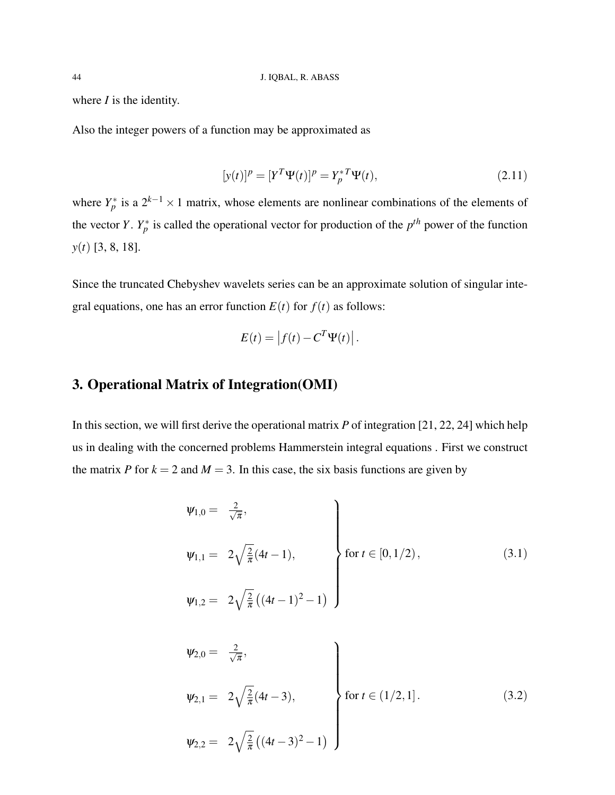where *I* is the identity.

Also the integer powers of a function may be approximated as

$$
[y(t)]^{p} = [Y^{T}\Psi(t)]^{p} = Y_{p}^{*T}\Psi(t),
$$
\n(2.11)

where  $Y_p^*$  is a  $2^{k-1} \times 1$  matrix, whose elements are nonlinear combinations of the elements of the vector *Y*.  $Y_p^*$  is called the operational vector for production of the  $p^{th}$  power of the function *y*(*t*) [3, 8, 18].

Since the truncated Chebyshev wavelets series can be an approximate solution of singular integral equations, one has an error function  $E(t)$  for  $f(t)$  as follows:

$$
E(t) = |f(t) - C^T \Psi(t)|.
$$

## 3. Operational Matrix of Integration(OMI)

In this section, we will first derive the operational matrix *P* of integration [21, 22, 24] which help us in dealing with the concerned problems Hammerstein integral equations . First we construct the matrix *P* for  $k = 2$  and  $M = 3$ . In this case, the six basis functions are given by

$$
\psi_{1,0} = \frac{2}{\sqrt{\pi}},
$$
\n
$$
\psi_{1,1} = 2\sqrt{\frac{2}{\pi}}(4t - 1),
$$
\n
$$
\psi_{1,2} = 2\sqrt{\frac{2}{\pi}}((4t - 1)^2 - 1)
$$
\n
$$
(3.1)
$$

$$
\psi_{2,0} = \frac{2}{\sqrt{\pi}},
$$
\n
$$
\psi_{2,1} = 2\sqrt{\frac{2}{\pi}}(4t - 3),
$$
\n
$$
\psi_{2,2} = 2\sqrt{\frac{2}{\pi}}((4t - 3)^2 - 1)
$$
\n
$$
(3.2)
$$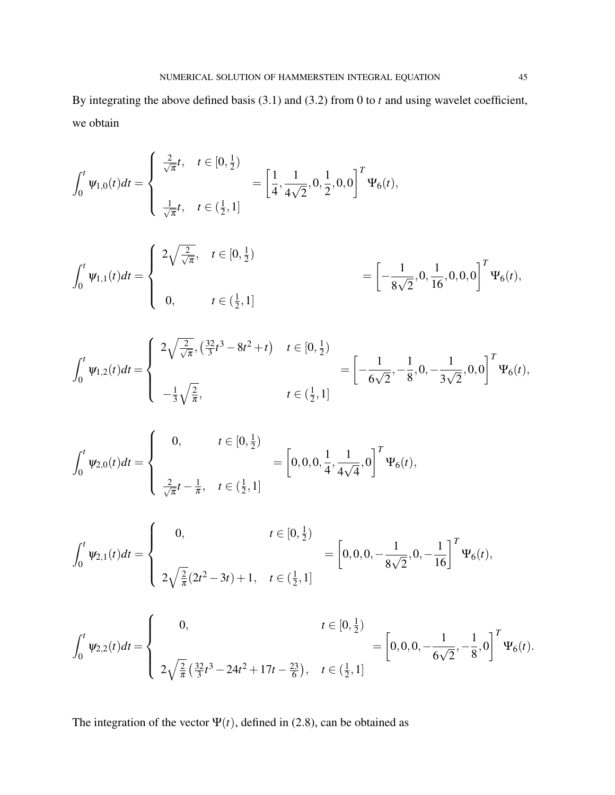By integrating the above defined basis (3.1) and (3.2) from 0 to *t* and using wavelet coefficient, we obtain

$$
\int_0^t \Psi_{1,0}(t)dt = \begin{cases}\n\frac{2}{\sqrt{\pi}}t, & t \in [0, \frac{1}{2}) \\
\frac{1}{\sqrt{\pi}}t, & t \in (\frac{1}{2}, 1]\n\end{cases} = \left[\frac{1}{4}, \frac{1}{4\sqrt{2}}, 0, \frac{1}{2}, 0, 0\right]^T \Psi_6(t),
$$
\n
$$
\int_0^t \Psi_{1,1}(t)dt = \begin{cases}\n2\sqrt{\frac{2}{\sqrt{\pi}}}, & t \in [0, \frac{1}{2}) \\
0, & t \in (\frac{1}{2}, 1]\n\end{cases} = \left[-\frac{1}{8\sqrt{2}}, 0, \frac{1}{16}, 0, 0, 0\right]^T \Psi_6(t),
$$

$$
\int_0^t \Psi_{1,2}(t)dt = \begin{cases} 2\sqrt{\frac{2}{\sqrt{\pi}}}, \left(\frac{32}{3}t^3 - 8t^2 + t\right) & t \in [0, \frac{1}{2}) \\ & \left[-\frac{1}{6\sqrt{2}}, -\frac{1}{8}, 0, -\frac{1}{3\sqrt{2}}, 0, 0\right]^T \Psi_6(t), \\ & t \in (\frac{1}{2}, 1] \end{cases}
$$

$$
\int_0^t \Psi_{2,0}(t)dt = \begin{cases} 0, & t \in [0,\frac{1}{2}) \\ & = \left[0,0,0,\frac{1}{4},\frac{1}{4\sqrt{4}},0\right]^T \Psi_6(t), \\ & \frac{2}{\sqrt{\pi}}t - \frac{1}{\pi}, \quad t \in (\frac{1}{2},1] \end{cases}
$$

$$
\int_0^t \psi_{2,1}(t)dt = \begin{cases}\n0, & t \in [0, \frac{1}{2}) \\
& \omega = \left[0, 0, 0, -\frac{1}{8\sqrt{2}}, 0, -\frac{1}{16}\right]^T \Psi_6(t), \\
2\sqrt{\frac{2}{\pi}}(2t^2 - 3t) + 1, & t \in (\frac{1}{2}, 1]\n\end{cases}
$$

$$
\int_0^t \psi_{2,2}(t)dt = \begin{cases}\n0, & t \in [0, \frac{1}{2}) \\
2\sqrt{\frac{2}{\pi}} \left(\frac{32}{3}t^3 - 24t^2 + 17t - \frac{23}{6}\right), & t \in (\frac{1}{2}, 1]\n\end{cases} = \left[0, 0, 0, -\frac{1}{6\sqrt{2}}, -\frac{1}{8}, 0\right]^T \Psi_6(t).
$$

The integration of the vector  $\Psi(t)$ , defined in (2.8), can be obtained as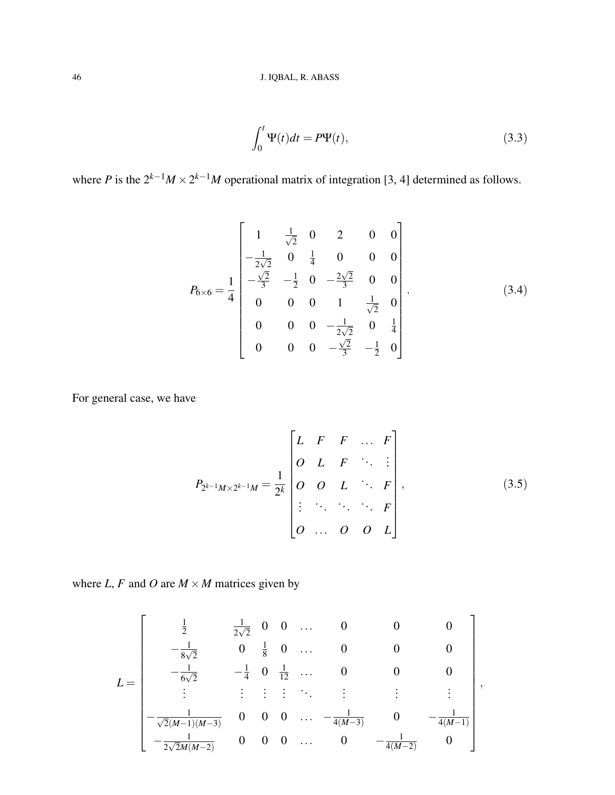$$
\int_0^t \Psi(t)dt = P\Psi(t),\tag{3.3}
$$

where *P* is the  $2^{k-1}M \times 2^{k-1}M$  operational matrix of integration [3, 4] determined as follows.

$$
P_{6\times6} = \frac{1}{4} \begin{bmatrix} 1 & \frac{1}{\sqrt{2}} & 0 & 2 & 0 & 0 \\ -\frac{1}{2\sqrt{2}} & 0 & \frac{1}{4} & 0 & 0 & 0 \\ -\frac{\sqrt{2}}{3} & -\frac{1}{2} & 0 & -\frac{2\sqrt{2}}{3} & 0 & 0 \\ 0 & 0 & 0 & 1 & \frac{1}{\sqrt{2}} & 0 \\ 0 & 0 & 0 & -\frac{1}{2\sqrt{2}} & 0 & \frac{1}{4} \\ 0 & 0 & 0 & -\frac{\sqrt{2}}{3} & -\frac{1}{2} & 0 \end{bmatrix}.
$$
 (3.4)

For general case, we have

$$
P_{2^{k-1}M \times 2^{k-1}M} = \frac{1}{2^k} \begin{bmatrix} L & F & F & \dots & F \\ O & L & F & \ddots & \vdots \\ O & O & L & \ddots & F \\ \vdots & \ddots & \ddots & \ddots & F \\ O & \dots & O & O & L \end{bmatrix},
$$
(3.5)

where *L*, *F* and *O* are  $M \times M$  matrices given by

$$
L = \begin{bmatrix} \frac{1}{2} & \frac{1}{2\sqrt{2}} & 0 & 0 & \dots & 0 & 0 & 0 \\ -\frac{1}{8\sqrt{2}} & 0 & \frac{1}{8} & 0 & \dots & 0 & 0 & 0 \\ -\frac{1}{6\sqrt{2}} & -\frac{1}{4} & 0 & \frac{1}{12} & \dots & 0 & 0 & 0 \\ \vdots & \vdots & \vdots & \vdots & \ddots & \vdots & \vdots & \vdots \\ -\frac{1}{\sqrt{2}(M-1)(M-3)} & 0 & 0 & 0 & \dots & -\frac{1}{4(M-3)} & 0 & -\frac{1}{4(M-1)} \\ -\frac{1}{2\sqrt{2}M(M-2)} & 0 & 0 & 0 & \dots & 0 & -\frac{1}{4(M-2)} & 0 \end{bmatrix},
$$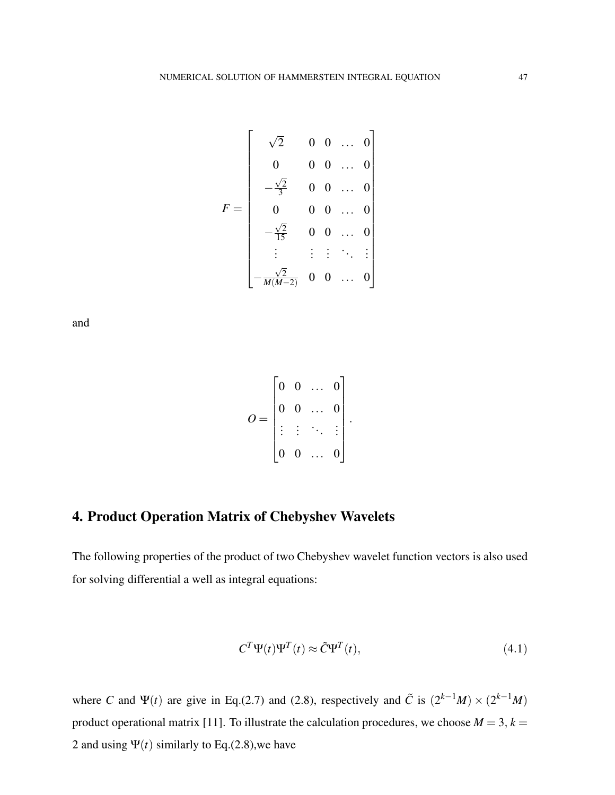$$
F = \begin{bmatrix} \sqrt{2} & 0 & 0 & \dots & 0 \\ 0 & 0 & 0 & \dots & 0 \\ -\frac{\sqrt{2}}{3} & 0 & 0 & \dots & 0 \\ 0 & 0 & 0 & \dots & 0 \\ -\frac{\sqrt{2}}{15} & 0 & 0 & \dots & 0 \\ \vdots & \vdots & \vdots & \ddots & \vdots \\ -\frac{\sqrt{2}}{M(M-2)} & 0 & 0 & \dots & 0 \end{bmatrix}
$$

and

$$
O = \begin{bmatrix} 0 & 0 & \dots & 0 \\ 0 & 0 & \dots & 0 \\ \vdots & \vdots & \ddots & \vdots \\ 0 & 0 & \dots & 0 \end{bmatrix}.
$$

# 4. Product Operation Matrix of Chebyshev Wavelets

The following properties of the product of two Chebyshev wavelet function vectors is also used for solving differential a well as integral equations:

$$
C^T \Psi(t) \Psi^T(t) \approx \tilde{C} \Psi^T(t), \qquad (4.1)
$$

where *C* and  $\Psi(t)$  are give in Eq.(2.7) and (2.8), respectively and  $\tilde{C}$  is  $(2^{k-1}M) \times (2^{k-1}M)$ product operational matrix [11]. To illustrate the calculation procedures, we choose  $M = 3$ ,  $k =$ 2 and using  $\Psi(t)$  similarly to Eq.(2.8), we have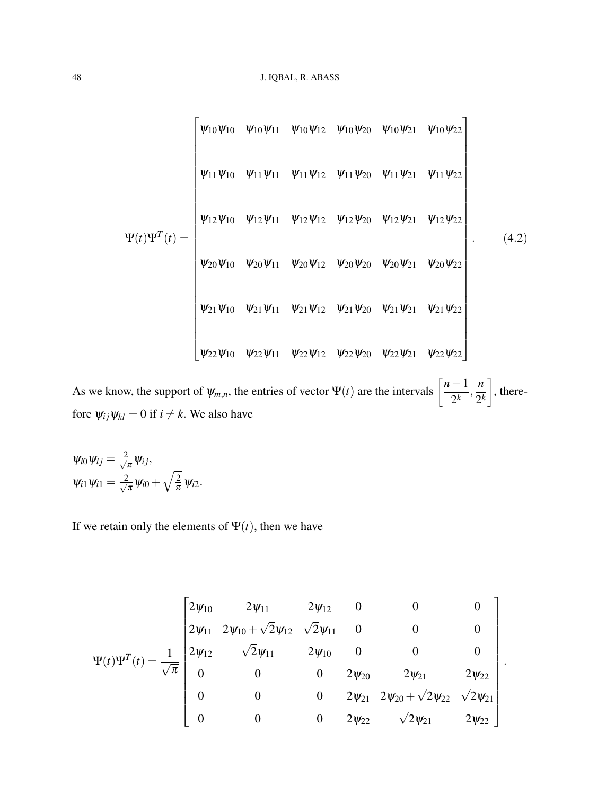$$
\Psi(t)\Psi^{T}(t) = \begin{bmatrix}\n\psi_{10}\psi_{10} & \psi_{10}\psi_{11} & \psi_{10}\psi_{12} & \psi_{10}\psi_{20} & \psi_{10}\psi_{21} & \psi_{10}\psi_{22} \\
\psi_{11}\psi_{10} & \psi_{11}\psi_{11} & \psi_{11}\psi_{12} & \psi_{11}\psi_{20} & \psi_{11}\psi_{21} & \psi_{11}\psi_{22} \\
\psi_{12}\psi_{10} & \psi_{12}\psi_{11} & \psi_{12}\psi_{12} & \psi_{12}\psi_{20} & \psi_{12}\psi_{21} & \psi_{12}\psi_{22} \\
\psi_{20}\psi_{10} & \psi_{20}\psi_{11} & \psi_{20}\psi_{12} & \psi_{20}\psi_{20} & \psi_{20}\psi_{21} & \psi_{20}\psi_{22} \\
\psi_{21}\psi_{10} & \psi_{21}\psi_{11} & \psi_{21}\psi_{12} & \psi_{21}\psi_{20} & \psi_{21}\psi_{21} & \psi_{21}\psi_{22} \\
\psi_{22}\psi_{10} & \psi_{22}\psi_{11} & \psi_{22}\psi_{12} & \psi_{22}\psi_{20} & \psi_{22}\psi_{21} & \psi_{22}\psi_{22}\n\end{bmatrix}.
$$
\n(4.2)

As we know, the support of  $\psi_{m,n}$ , the entries of vector  $\Psi(t)$  are the intervals  $\left[\frac{n-1}{2^k}\right]$  $\frac{1}{2^k}$ , *n* 2 *k* 1 , therefore  $\psi_{ij}\psi_{kl} = 0$  if  $i \neq k$ . We also have

$$
\psi_{i0}\psi_{ij}=\frac{2}{\sqrt{\pi}}\psi_{ij},
$$
  

$$
\psi_{i1}\psi_{i1}=\frac{2}{\sqrt{\pi}}\psi_{i0}+\sqrt{\frac{2}{\pi}}\psi_{i2}.
$$

If we retain only the elements of  $\Psi(t)$ , then we have

$$
\Psi(t)\Psi^{T}(t) = \frac{1}{\sqrt{\pi}} \begin{bmatrix} 2\psi_{10} & 2\psi_{11} & 2\psi_{12} & 0 & 0 & 0 \\ 2\psi_{11} & 2\psi_{10} + \sqrt{2}\psi_{12} & \sqrt{2}\psi_{11} & 0 & 0 & 0 \\ 2\psi_{12} & \sqrt{2}\psi_{11} & 2\psi_{10} & 0 & 0 & 0 \\ 0 & 0 & 0 & 2\psi_{20} & 2\psi_{21} & 2\psi_{22} \\ 0 & 0 & 0 & 2\psi_{21} & 2\psi_{22} + \sqrt{2}\psi_{22} & \sqrt{2}\psi_{21} \\ 0 & 0 & 0 & 2\psi_{22} & \sqrt{2}\psi_{21} & 2\psi_{22} \end{bmatrix}.
$$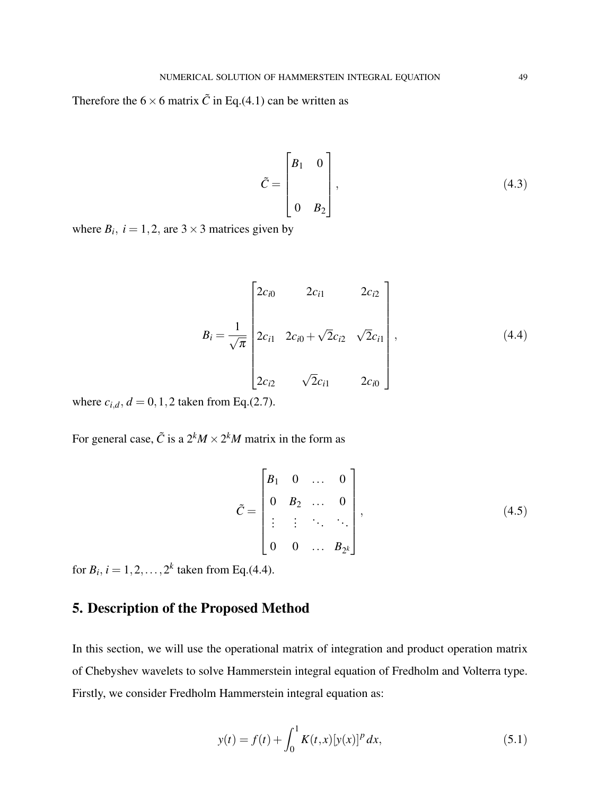Therefore the  $6 \times 6$  matrix  $\tilde{C}$  in Eq.(4.1) can be written as

$$
\tilde{C} = \begin{bmatrix} B_1 & 0 \\ & \\ 0 & B_2 \end{bmatrix}, \tag{4.3}
$$

where  $B_i$ ,  $i = 1, 2$ , are  $3 \times 3$  matrices given by

$$
B_{i} = \frac{1}{\sqrt{\pi}} \begin{bmatrix} 2c_{i0} & 2c_{i1} & 2c_{i2} \\ 2c_{i1} & 2c_{i0} + \sqrt{2}c_{i2} & \sqrt{2}c_{i1} \\ 2c_{i2} & \sqrt{2}c_{i1} & 2c_{i0} \end{bmatrix},
$$
(4.4)

where  $c_{i,d}$ ,  $d = 0, 1, 2$  taken from Eq.(2.7).

For general case,  $\tilde{C}$  is a  $2^k M \times 2^k M$  matrix in the form as

$$
\tilde{C} = \begin{bmatrix} B_1 & 0 & \dots & 0 \\ 0 & B_2 & \dots & 0 \\ \vdots & \vdots & \ddots & \ddots \\ 0 & 0 & \dots & B_{2^k} \end{bmatrix},
$$
\n(4.5)

for  $B_i$ ,  $i = 1, 2, ..., 2^k$  taken from Eq.(4.4).

## 5. Description of the Proposed Method

In this section, we will use the operational matrix of integration and product operation matrix of Chebyshev wavelets to solve Hammerstein integral equation of Fredholm and Volterra type. Firstly, we consider Fredholm Hammerstein integral equation as:

$$
y(t) = f(t) + \int_0^1 K(t, x) [y(x)]^p dx,
$$
\n(5.1)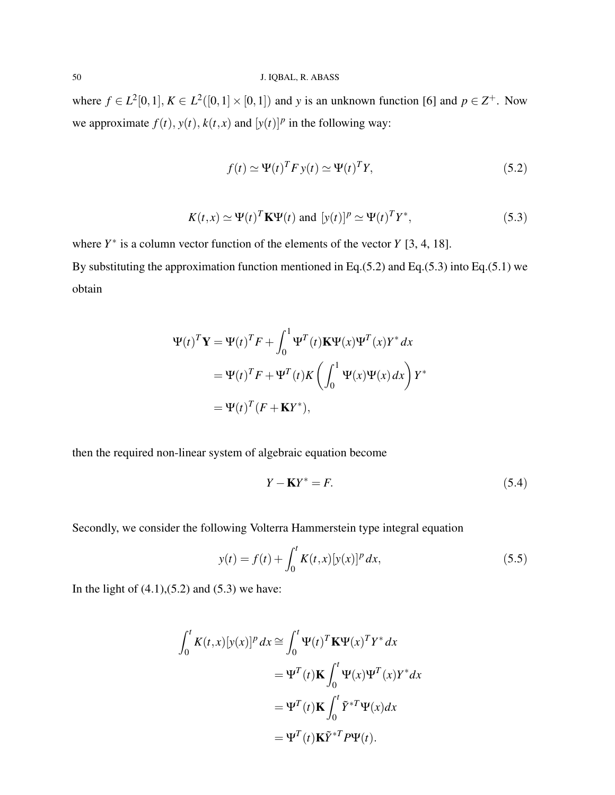where  $f \in L^2[0,1], K \in L^2([0,1] \times [0,1])$  and y is an unknown function [6] and  $p \in \mathbb{Z}^+$ . Now we approximate  $f(t)$ ,  $y(t)$ ,  $k(t, x)$  and  $[y(t)]^p$  in the following way:

$$
f(t) \simeq \Psi(t)^T F y(t) \simeq \Psi(t)^T Y,
$$
\n(5.2)

$$
K(t,x) \simeq \Psi(t)^T \mathbf{K} \Psi(t) \text{ and } [y(t)]^p \simeq \Psi(t)^T Y^*, \tag{5.3}
$$

where  $Y^*$  is a column vector function of the elements of the vector  $Y$  [3, 4, 18].

By substituting the approximation function mentioned in Eq.(5.2) and Eq.(5.3) into Eq.(5.1) we obtain

$$
\Psi(t)^T \mathbf{Y} = \Psi(t)^T F + \int_0^1 \Psi^T(t) \mathbf{K} \Psi(x) \Psi^T(x) Y^* dx
$$
  
=  $\Psi(t)^T F + \Psi^T(t) K \left( \int_0^1 \Psi(x) \Psi(x) dx \right) Y^*$   
=  $\Psi(t)^T (F + \mathbf{K} Y^*),$ 

then the required non-linear system of algebraic equation become

$$
Y - \mathbf{K}Y^* = F. \tag{5.4}
$$

Secondly, we consider the following Volterra Hammerstein type integral equation

$$
y(t) = f(t) + \int_0^t K(t, x) [y(x)]^p dx,
$$
\n(5.5)

In the light of  $(4.1)$ , $(5.2)$  and  $(5.3)$  we have:

$$
\int_0^t K(t,x)[y(x)]^p dx \cong \int_0^t \Psi(t)^T \mathbf{K} \Psi(x)^T Y^* dx
$$
  
=  $\Psi^T(t) \mathbf{K} \int_0^t \Psi(x) \Psi^T(x) Y^* dx$   
=  $\Psi^T(t) \mathbf{K} \int_0^t \tilde{Y}^{*T} \Psi(x) dx$   
=  $\Psi^T(t) \mathbf{K} \tilde{Y}^{*T} P \Psi(t).$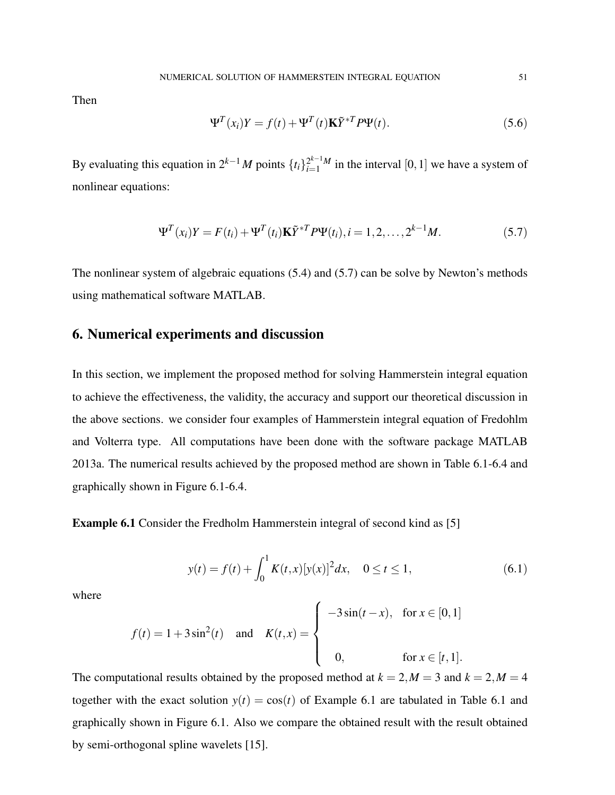Then

$$
\Psi^{T}(x_{i})Y = f(t) + \Psi^{T}(t)\mathbf{K}\tilde{Y}^{*T}P\Psi(t).
$$
\n(5.6)

By evaluating this equation in  $2^{k-1}M$  points  $\{t_i\}_{i=1}^{2^{k-1}M}$  $\sum_{i=1}^{2^{k-1}M}$  in the interval [0, 1] we have a system of nonlinear equations:

$$
\Psi^{T}(x_i)Y = F(t_i) + \Psi^{T}(t_i)\mathbf{K}\tilde{Y}^{*T}P\Psi(t_i), i = 1, 2, ..., 2^{k-1}M.
$$
\n(5.7)

The nonlinear system of algebraic equations (5.4) and (5.7) can be solve by Newton's methods using mathematical software MATLAB.

#### 6. Numerical experiments and discussion

In this section, we implement the proposed method for solving Hammerstein integral equation to achieve the effectiveness, the validity, the accuracy and support our theoretical discussion in the above sections. we consider four examples of Hammerstein integral equation of Fredohlm and Volterra type. All computations have been done with the software package MATLAB 2013a. The numerical results achieved by the proposed method are shown in Table 6.1-6.4 and graphically shown in Figure 6.1-6.4.

Example 6.1 Consider the Fredholm Hammerstein integral of second kind as [5]

$$
y(t) = f(t) + \int_0^1 K(t, x) [y(x)]^2 dx, \quad 0 \le t \le 1,
$$
\n(6.1)

where

$$
f(t) = 1 + 3\sin^{2}(t) \quad \text{and} \quad K(t, x) = \begin{cases} -3\sin(t - x), & \text{for } x \in [0, 1] \\ 0, & \text{for } x \in [t, 1]. \end{cases}
$$

The computational results obtained by the proposed method at  $k = 2, M = 3$  and  $k = 2, M = 4$ together with the exact solution  $y(t) = cos(t)$  of Example 6.1 are tabulated in Table 6.1 and graphically shown in Figure 6.1. Also we compare the obtained result with the result obtained by semi-orthogonal spline wavelets [15].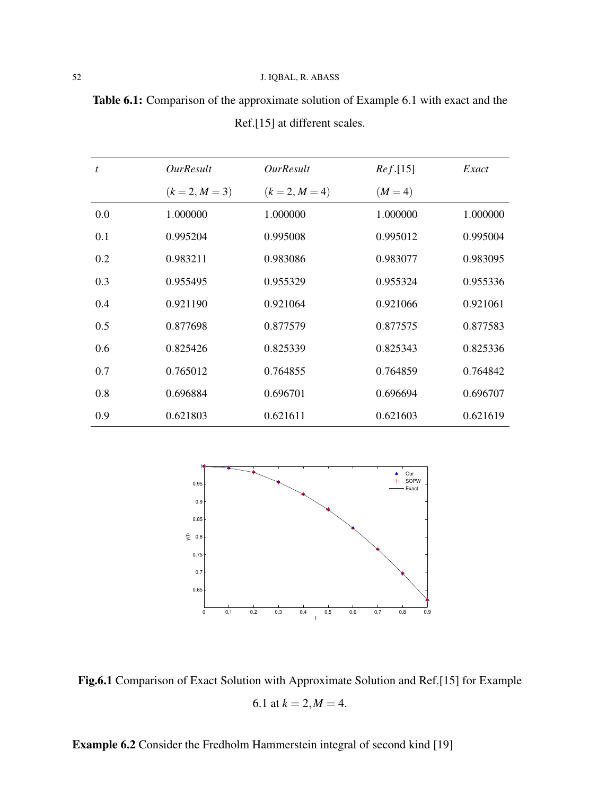| <b>Table 6.1:</b> Comparison of the approximate solution of Example 6.1 with exact and the |                               |  |  |
|--------------------------------------------------------------------------------------------|-------------------------------|--|--|
|                                                                                            | Ref.[15] at different scales. |  |  |

| t   | <i><b>OurResult</b></i> | <i><b>OurResult</b></i> | Ref.[15]  | Exact    |
|-----|-------------------------|-------------------------|-----------|----------|
|     | $(k = 2, M = 3)$        | $(k = 2, M = 4)$        | $(M = 4)$ |          |
| 0.0 | 1.000000                | 1.000000                | 1.000000  | 1.000000 |
| 0.1 | 0.995204                | 0.995008                | 0.995012  | 0.995004 |
| 0.2 | 0.983211                | 0.983086                | 0.983077  | 0.983095 |
| 0.3 | 0.955495                | 0.955329                | 0.955324  | 0.955336 |
| 0.4 | 0.921190                | 0.921064                | 0.921066  | 0.921061 |
| 0.5 | 0.877698                | 0.877579                | 0.877575  | 0.877583 |
| 0.6 | 0.825426                | 0.825339                | 0.825343  | 0.825336 |
| 0.7 | 0.765012                | 0.764855                | 0.764859  | 0.764842 |
| 0.8 | 0.696884                | 0.696701                | 0.696694  | 0.696707 |
| 0.9 | 0.621803                | 0.621611                | 0.621603  | 0.621619 |



Fig.6.1 Comparison of Exact Solution with Approximate Solution and Ref.[15] for Example 6.1 at  $k = 2, M = 4$ .

Example 6.2 Consider the Fredholm Hammerstein integral of second kind [19]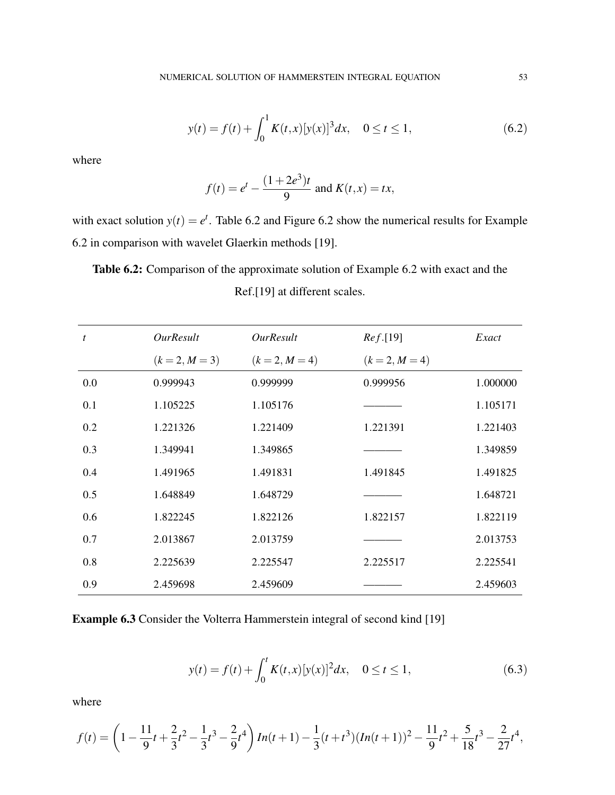$$
y(t) = f(t) + \int_0^1 K(t, x) [y(x)]^3 dx, \quad 0 \le t \le 1,
$$
\n(6.2)

where

$$
f(t) = e^t - \frac{(1+2e^3)t}{9}
$$
 and  $K(t,x) = tx$ ,

with exact solution  $y(t) = e^t$ . Table 6.2 and Figure 6.2 show the numerical results for Example 6.2 in comparison with wavelet Glaerkin methods [19].

Table 6.2: Comparison of the approximate solution of Example 6.2 with exact and the Ref.[19] at different scales.

| $\boldsymbol{t}$ | <i><b>OurResult</b></i> | <b>OurResult</b> | Ref.[19]         | Exact    |
|------------------|-------------------------|------------------|------------------|----------|
|                  | $(k = 2, M = 3)$        | $(k = 2, M = 4)$ | $(k = 2, M = 4)$ |          |
| 0.0              | 0.999943                | 0.999999         | 0.999956         | 1.000000 |
| 0.1              | 1.105225                | 1.105176         |                  | 1.105171 |
| 0.2              | 1.221326                | 1.221409         | 1.221391         | 1.221403 |
| 0.3              | 1.349941                | 1.349865         |                  | 1.349859 |
| 0.4              | 1.491965                | 1.491831         | 1.491845         | 1.491825 |
| 0.5              | 1.648849                | 1.648729         |                  | 1.648721 |
| 0.6              | 1.822245                | 1.822126         | 1.822157         | 1.822119 |
| 0.7              | 2.013867                | 2.013759         |                  | 2.013753 |
| 0.8              | 2.225639                | 2.225547         | 2.225517         | 2.225541 |
| 0.9              | 2.459698                | 2.459609         |                  | 2.459603 |

Example 6.3 Consider the Volterra Hammerstein integral of second kind [19]

$$
y(t) = f(t) + \int_0^t K(t, x) [y(x)]^2 dx, \quad 0 \le t \le 1,
$$
\n(6.3)

where

$$
f(t) = \left(1 - \frac{11}{9}t + \frac{2}{3}t^2 - \frac{1}{3}t^3 - \frac{2}{9}t^4\right)In(t+1) - \frac{1}{3}(t+t^3)(In(t+1))^2 - \frac{11}{9}t^2 + \frac{5}{18}t^3 - \frac{2}{27}t^4,
$$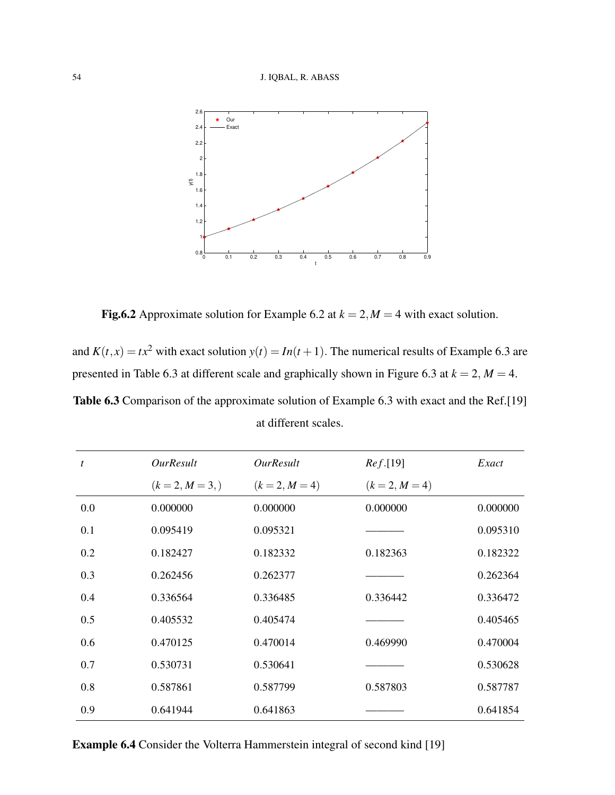

Fig.6.2 Approximate solution for Example 6.2 at  $k = 2, M = 4$  with exact solution.

and  $K(t, x) = tx^2$  with exact solution  $y(t) = In(t + 1)$ . The numerical results of Example 6.3 are presented in Table 6.3 at different scale and graphically shown in Figure 6.3 at  $k = 2$ ,  $M = 4$ . Table 6.3 Comparison of the approximate solution of Example 6.3 with exact and the Ref.[19] at different scales.

| t   | <i>OurResult</i> | <i>OurResult</i> | Ref.[19]         | Exact    |
|-----|------------------|------------------|------------------|----------|
|     | $(k = 2, M = 3)$ | $(k = 2, M = 4)$ | $(k = 2, M = 4)$ |          |
| 0.0 | 0.000000         | 0.000000         | 0.000000         | 0.000000 |
| 0.1 | 0.095419         | 0.095321         |                  | 0.095310 |
| 0.2 | 0.182427         | 0.182332         | 0.182363         | 0.182322 |
| 0.3 | 0.262456         | 0.262377         |                  | 0.262364 |
| 0.4 | 0.336564         | 0.336485         | 0.336442         | 0.336472 |
| 0.5 | 0.405532         | 0.405474         |                  | 0.405465 |
| 0.6 | 0.470125         | 0.470014         | 0.469990         | 0.470004 |
| 0.7 | 0.530731         | 0.530641         |                  | 0.530628 |
| 0.8 | 0.587861         | 0.587799         | 0.587803         | 0.587787 |
| 0.9 | 0.641944         | 0.641863         |                  | 0.641854 |

Example 6.4 Consider the Volterra Hammerstein integral of second kind [19]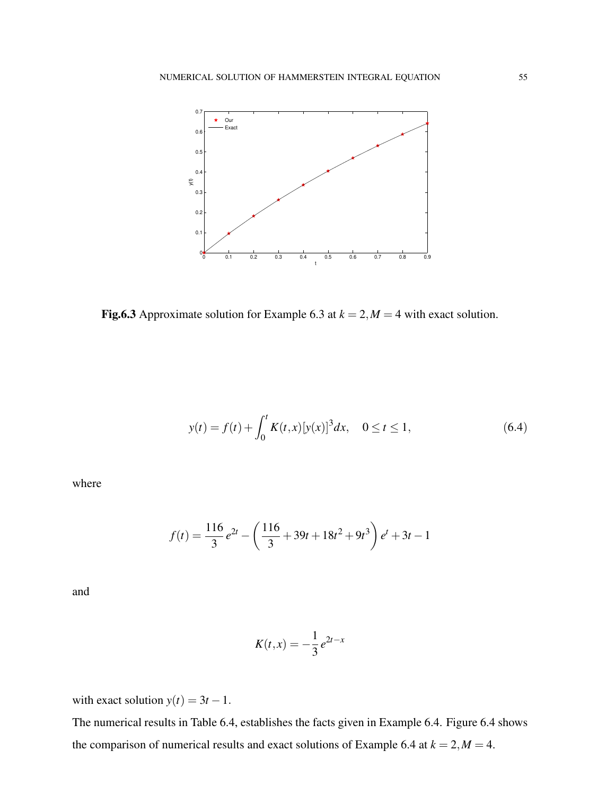

Fig.6.3 Approximate solution for Example 6.3 at  $k = 2$ ,  $M = 4$  with exact solution.

$$
y(t) = f(t) + \int_0^t K(t, x) [y(x)]^3 dx, \quad 0 \le t \le 1,
$$
\n(6.4)

where

$$
f(t) = \frac{116}{3}e^{2t} - \left(\frac{116}{3} + 39t + 18t^2 + 9t^3\right)e^t + 3t - 1
$$

and

$$
K(t,x) = -\frac{1}{3}e^{2t-x}
$$

with exact solution  $y(t) = 3t - 1$ .

The numerical results in Table 6.4, establishes the facts given in Example 6.4. Figure 6.4 shows the comparison of numerical results and exact solutions of Example 6.4 at  $k = 2, M = 4$ .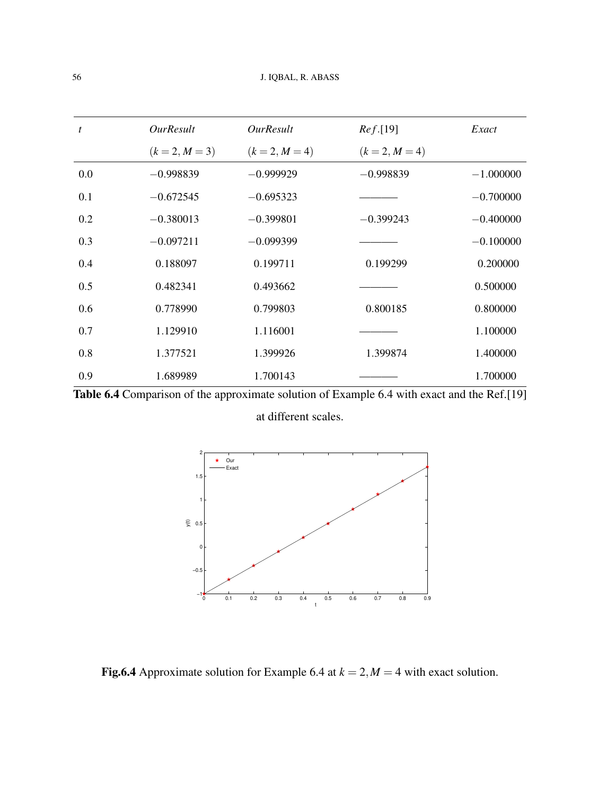| $\boldsymbol{t}$ | <i><b>OurResult</b></i> | <i><b>OurResult</b></i> | Ref.[19]         | Exact       |
|------------------|-------------------------|-------------------------|------------------|-------------|
|                  | $(k = 2, M = 3)$        | $(k = 2, M = 4)$        | $(k = 2, M = 4)$ |             |
| 0.0              | $-0.998839$             | $-0.999929$             | $-0.998839$      | $-1.000000$ |
| 0.1              | $-0.672545$             | $-0.695323$             |                  | $-0.700000$ |
| 0.2              | $-0.380013$             | $-0.399801$             | $-0.399243$      | $-0.400000$ |
| 0.3              | $-0.097211$             | $-0.099399$             |                  | $-0.100000$ |
| 0.4              | 0.188097                | 0.199711                | 0.199299         | 0.200000    |
| 0.5              | 0.482341                | 0.493662                |                  | 0.500000    |
| 0.6              | 0.778990                | 0.799803                | 0.800185         | 0.800000    |
| 0.7              | 1.129910                | 1.116001                |                  | 1.100000    |
| 0.8              | 1.377521                | 1.399926                | 1.399874         | 1.400000    |
| 0.9              | 1.689989                | 1.700143                |                  | 1.700000    |
|                  |                         |                         |                  |             |





Fig.6.4 Approximate solution for Example 6.4 at  $k = 2$ ,  $M = 4$  with exact solution.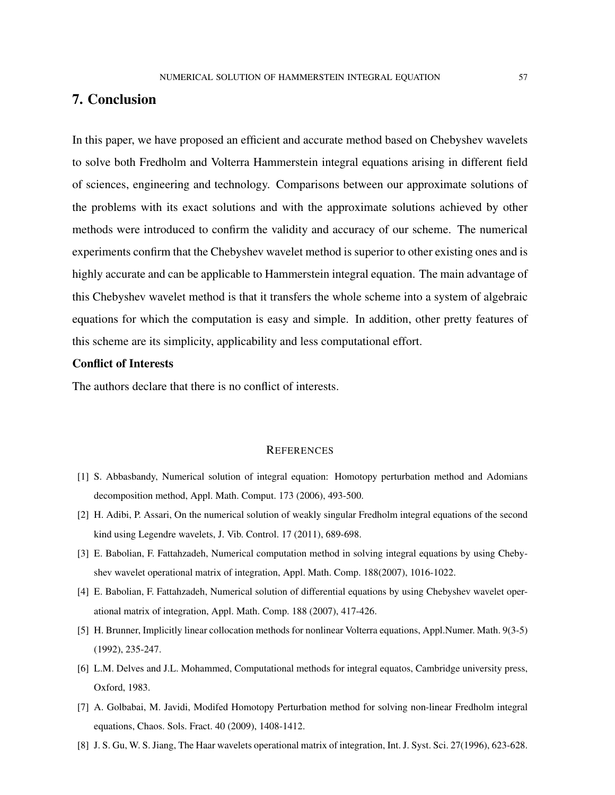### 7. Conclusion

In this paper, we have proposed an efficient and accurate method based on Chebyshev wavelets to solve both Fredholm and Volterra Hammerstein integral equations arising in different field of sciences, engineering and technology. Comparisons between our approximate solutions of the problems with its exact solutions and with the approximate solutions achieved by other methods were introduced to confirm the validity and accuracy of our scheme. The numerical experiments confirm that the Chebyshev wavelet method is superior to other existing ones and is highly accurate and can be applicable to Hammerstein integral equation. The main advantage of this Chebyshev wavelet method is that it transfers the whole scheme into a system of algebraic equations for which the computation is easy and simple. In addition, other pretty features of this scheme are its simplicity, applicability and less computational effort.

#### Conflict of Interests

The authors declare that there is no conflict of interests.

#### **REFERENCES**

- [1] S. Abbasbandy, Numerical solution of integral equation: Homotopy perturbation method and Adomians decomposition method, Appl. Math. Comput. 173 (2006), 493-500.
- [2] H. Adibi, P. Assari, On the numerical solution of weakly singular Fredholm integral equations of the second kind using Legendre wavelets, J. Vib. Control. 17 (2011), 689-698.
- [3] E. Babolian, F. Fattahzadeh, Numerical computation method in solving integral equations by using Chebyshev wavelet operational matrix of integration, Appl. Math. Comp. 188(2007), 1016-1022.
- [4] E. Babolian, F. Fattahzadeh, Numerical solution of differential equations by using Chebyshev wavelet operational matrix of integration, Appl. Math. Comp. 188 (2007), 417-426.
- [5] H. Brunner, Implicitly linear collocation methods for nonlinear Volterra equations, Appl.Numer. Math. 9(3-5) (1992), 235-247.
- [6] L.M. Delves and J.L. Mohammed, Computational methods for integral equatos, Cambridge university press, Oxford, 1983.
- [7] A. Golbabai, M. Javidi, Modifed Homotopy Perturbation method for solving non-linear Fredholm integral equations, Chaos. Sols. Fract. 40 (2009), 1408-1412.
- [8] J. S. Gu, W. S. Jiang, The Haar wavelets operational matrix of integration, Int. J. Syst. Sci. 27(1996), 623-628.